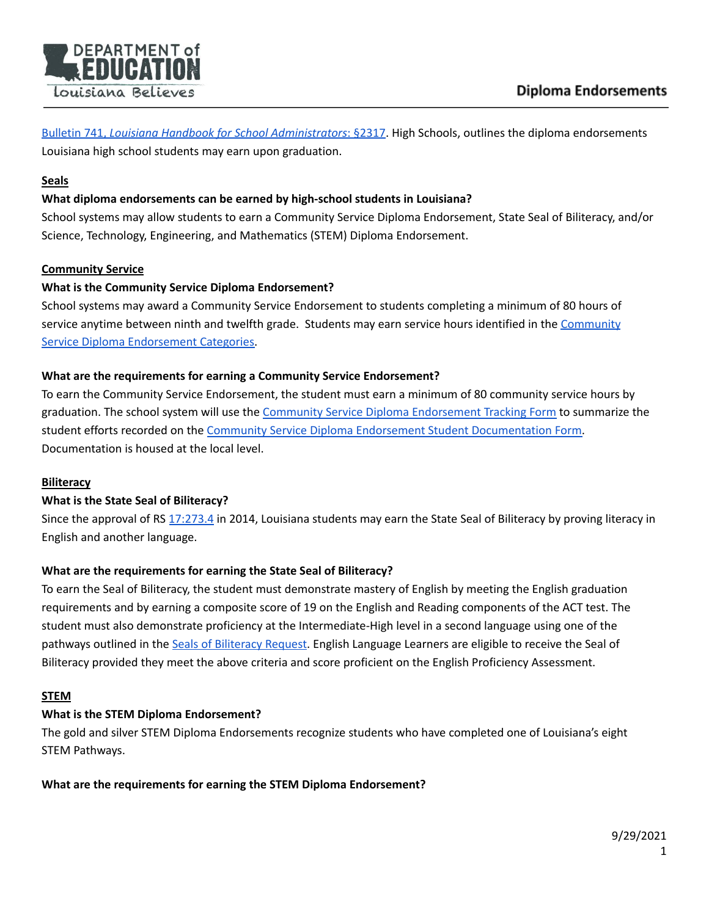

Bulletin 741, *Louisiana Handbook for School [Administrators](https://bese.louisiana.gov/policy)*: §2317. High Schools, outlines the diploma endorsements Louisiana high school students may earn upon graduation.

### **Seals**

# **What diploma endorsements can be earned by high-school students in Louisiana?**

School systems may allow students to earn a Community Service Diploma Endorsement, State Seal of Biliteracy, and/or Science, Technology, Engineering, and Mathematics (STEM) Diploma Endorsement.

#### **Community Service**

#### **What is the Community Service Diploma Endorsement?**

School systems may award a Community Service Endorsement to students completing a minimum of 80 hours of service anytime between ninth and twelfth grade. Students may earn service hours identified in the [Community](https://www.louisianabelieves.com/docs/default-source/counselor-toolbox-resources/community-service-diploma-endorsement-categories-with-descriptions-and-examples-of-non-profits.pdf?sfvrsn=0) Service Diploma [Endorsement](https://www.louisianabelieves.com/docs/default-source/counselor-toolbox-resources/community-service-diploma-endorsement-categories-with-descriptions-and-examples-of-non-profits.pdf?sfvrsn=0) Categories.

#### **What are the requirements for earning a Community Service Endorsement?**

To earn the Community Service Endorsement, the student must earn a minimum of 80 community service hours by graduation. The school system will use the Community Service Diploma [Endorsement](https://www.louisianabelieves.com/docs/default-source/counselor-toolbox-resources/community-service-diploma-endorsement-tracking-form.pdf?sfvrsn=74ca851f_8) Tracking Form to summarize the student efforts recorded on the Community Service Diploma Endorsement Student [Documentation](https://www.louisianabelieves.com/docs/default-source/counselor-toolbox-resources/community-service-diploma-endorsement-student-documentation-form.pdf?sfvrsn=8ecb851f_12) Form. Documentation is housed at the local level.

#### **Biliteracy**

#### **What is the State Seal of Biliteracy?**

Since the approval of RS [17:273.4](http://www.legis.la.gov/legis/Law.aspx?d=920002) in 2014, Louisiana students may earn the State Seal of Biliteracy by proving literacy in English and another language.

#### **What are the requirements for earning the State Seal of Biliteracy?**

To earn the Seal of Biliteracy, the student must demonstrate mastery of English by meeting the English graduation requirements and by earning a composite score of 19 on the English and Reading components of the ACT test. The student must also demonstrate proficiency at the Intermediate-High level in a second language using one of the pathways outlined in the Seals of [Biliteracy](https://www.louisianabelieves.com/resources/library/world-languages-immersion) Request. English Language Learners are eligible to receive the Seal of Biliteracy provided they meet the above criteria and score proficient on the English Proficiency Assessment.

#### **STEM**

#### **What is the STEM Diploma Endorsement?**

The gold and silver STEM Diploma Endorsements recognize students who have completed one of Louisiana's eight STEM Pathways.

**What are the requirements for earning the STEM Diploma Endorsement?**